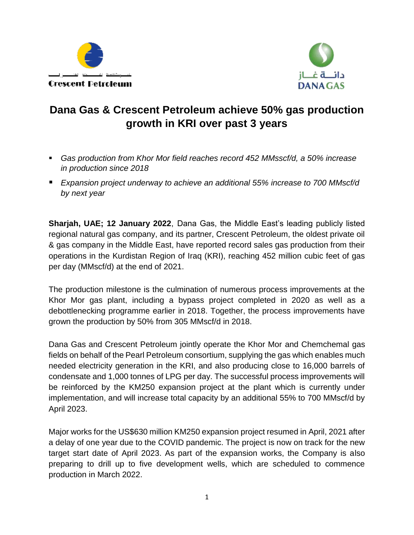



# **Dana Gas & Crescent Petroleum achieve 50% gas production growth in KRI over past 3 years**

- *Gas production from Khor Mor field reaches record 452 MMsscf/d, a 50% increase in production since 2018*
- *Expansion project underway to achieve an additional 55% increase to 700 MMscf/d by next year*

**Sharjah, UAE; 12 January 2022**, Dana Gas, the Middle East's leading publicly listed regional natural gas company, and its partner, Crescent Petroleum, the oldest private oil & gas company in the Middle East, have reported record sales gas production from their operations in the Kurdistan Region of Iraq (KRI), reaching 452 million cubic feet of gas per day (MMscf/d) at the end of 2021.

The production milestone is the culmination of numerous process improvements at the Khor Mor gas plant, including a bypass project completed in 2020 as well as a debottlenecking programme earlier in 2018. Together, the process improvements have grown the production by 50% from 305 MMscf/d in 2018.

Dana Gas and Crescent Petroleum jointly operate the Khor Mor and Chemchemal gas fields on behalf of the Pearl Petroleum consortium, supplying the gas which enables much needed electricity generation in the KRI, and also producing close to 16,000 barrels of condensate and 1,000 tonnes of LPG per day. The successful process improvements will be reinforced by the KM250 expansion project at the plant which is currently under implementation, and will increase total capacity by an additional 55% to 700 MMscf/d by April 2023.

Major works for the US\$630 million KM250 expansion project resumed in April, 2021 after a delay of one year due to the COVID pandemic. The project is now on track for the new target start date of April 2023. As part of the expansion works, the Company is also preparing to drill up to five development wells, which are scheduled to commence production in March 2022.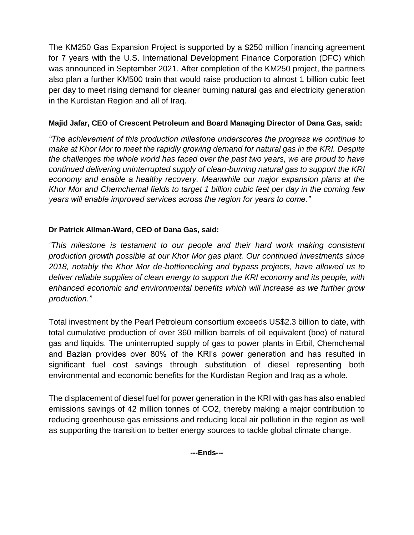The KM250 Gas Expansion Project is supported by a \$250 million financing agreement for 7 years with the U.S. International Development Finance Corporation (DFC) which was announced in September 2021. After completion of the KM250 project, the partners also plan a further KM500 train that would raise production to almost 1 billion cubic feet per day to meet rising demand for cleaner burning natural gas and electricity generation in the Kurdistan Region and all of Iraq.

## **Majid Jafar, CEO of Crescent Petroleum and Board Managing Director of Dana Gas, said:**

*"The achievement of this production milestone underscores the progress we continue to make at Khor Mor to meet the rapidly growing demand for natural gas in the KRI. Despite the challenges the whole world has faced over the past two years, we are proud to have continued delivering uninterrupted supply of clean-burning natural gas to support the KRI economy and enable a healthy recovery. Meanwhile our major expansion plans at the Khor Mor and Chemchemal fields to target 1 billion cubic feet per day in the coming few years will enable improved services across the region for years to come."* 

### **Dr Patrick Allman-Ward, CEO of Dana Gas, said:**

*"This milestone is testament to our people and their hard work making consistent production growth possible at our Khor Mor gas plant. Our continued investments since 2018, notably the Khor Mor de-bottlenecking and bypass projects, have allowed us to deliver reliable supplies of clean energy to support the KRI economy and its people, with enhanced economic and environmental benefits which will increase as we further grow production."* 

Total investment by the Pearl Petroleum consortium exceeds US\$2.3 billion to date, with total cumulative production of over 360 million barrels of oil equivalent (boe) of natural gas and liquids. The uninterrupted supply of gas to power plants in Erbil, Chemchemal and Bazian provides over 80% of the KRI's power generation and has resulted in significant fuel cost savings through substitution of diesel representing both environmental and economic benefits for the Kurdistan Region and Iraq as a whole.

The displacement of diesel fuel for power generation in the KRI with gas has also enabled emissions savings of 42 million tonnes of CO2, thereby making a major contribution to reducing greenhouse gas emissions and reducing local air pollution in the region as well as supporting the transition to better energy sources to tackle global climate change.

**---Ends---**